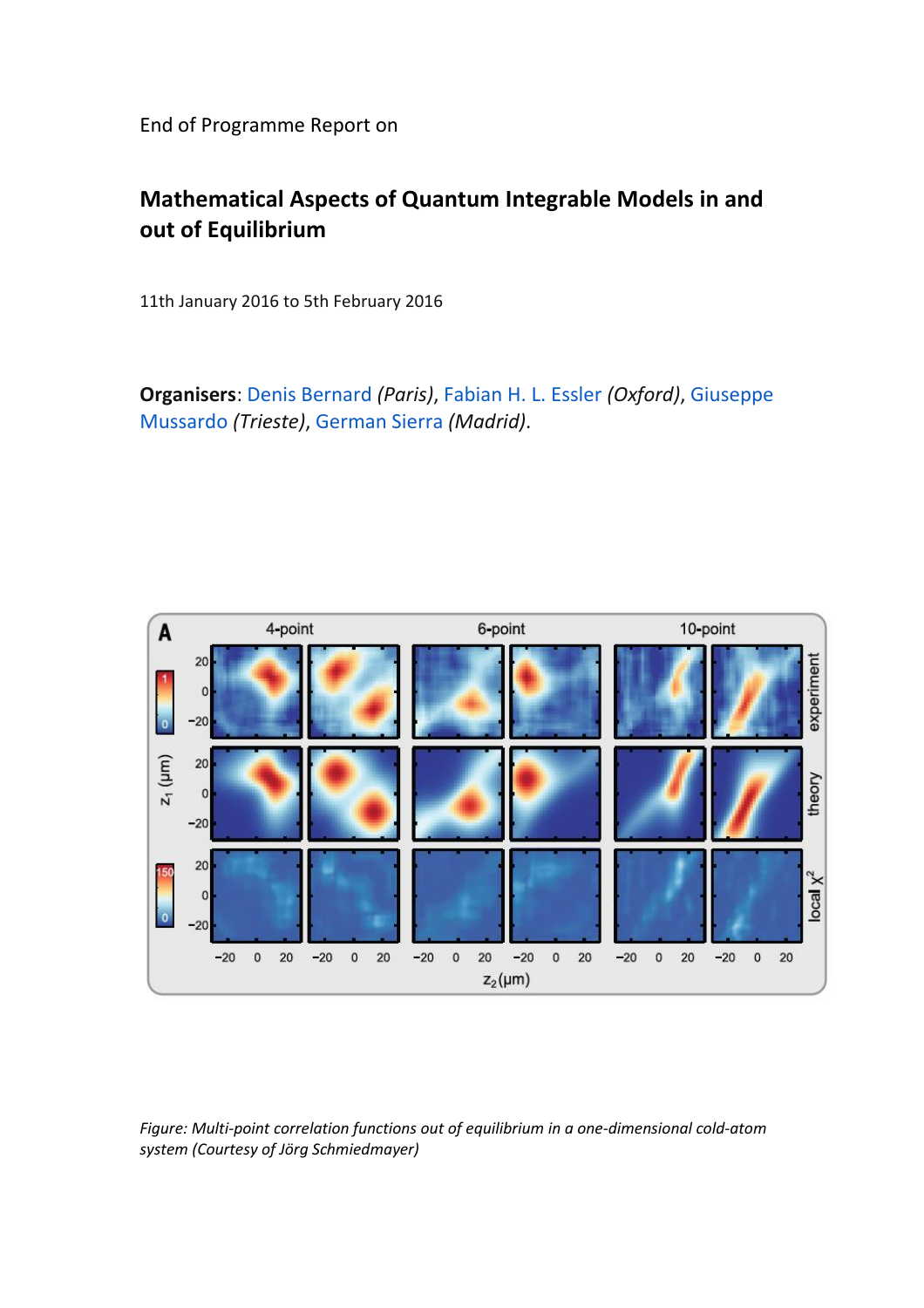End of Programme Report on

## **Mathematical Aspects of Quantum Integrable Models in and out of Equilibrium**

11th January 2016 to 5th February 2016

**Organisers**: [Denis Bernard](http://www.newton.ac.uk/node/948071) *(Paris)*, [Fabian H. L. Essler](http://www.newton.ac.uk/node/948072) *(Oxford)*, [Giuseppe](http://www.newton.ac.uk/node/948073)  [Mussardo](http://www.newton.ac.uk/node/948073) *(Trieste)*, [German Sierra](http://www.newton.ac.uk/node/948074) *(Madrid)*.



*Figure: Multi-point correlation functions out of equilibrium in a one-dimensional cold-atom system (Courtesy of Jörg Schmiedmayer)*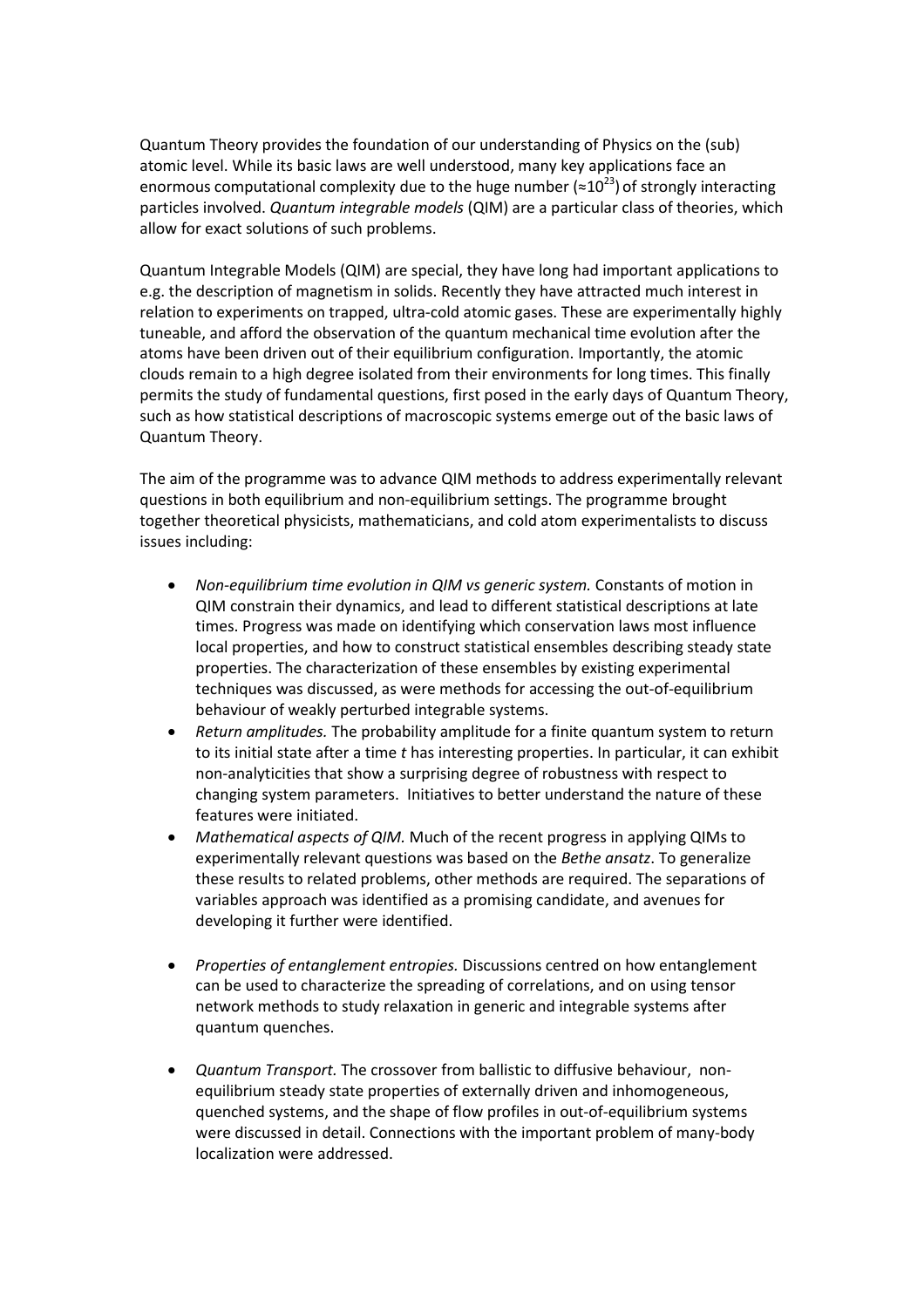Quantum Theory provides the foundation of our understanding of Physics on the (sub) atomic level. While its basic laws are well understood, many key applications face an enormous computational complexity due to the huge number ( $\approx 10^{23}$ ) of strongly interacting particles involved. *Quantum integrable models* (QIM) are a particular class of theories, which allow for exact solutions of such problems.

Quantum Integrable Models (QIM) are special, they have long had important applications to e.g. the description of magnetism in solids. Recently they have attracted much interest in relation to experiments on trapped, ultra-cold atomic gases. These are experimentally highly tuneable, and afford the observation of the quantum mechanical time evolution after the atoms have been driven out of their equilibrium configuration. Importantly, the atomic clouds remain to a high degree isolated from their environments for long times. This finally permits the study of fundamental questions, first posed in the early days of Quantum Theory, such as how statistical descriptions of macroscopic systems emerge out of the basic laws of Quantum Theory.

The aim of the programme was to advance QIM methods to address experimentally relevant questions in both equilibrium and non-equilibrium settings. The programme brought together theoretical physicists, mathematicians, and cold atom experimentalists to discuss issues including:

- *Non-equilibrium time evolution in QIM vs generic system.* Constants of motion in QIM constrain their dynamics, and lead to different statistical descriptions at late times. Progress was made on identifying which conservation laws most influence local properties, and how to construct statistical ensembles describing steady state properties. The characterization of these ensembles by existing experimental techniques was discussed, as were methods for accessing the out-of-equilibrium behaviour of weakly perturbed integrable systems.
- *Return amplitudes.* The probability amplitude for a finite quantum system to return to its initial state after a time *t* has interesting properties. In particular, it can exhibit non-analyticities that show a surprising degree of robustness with respect to changing system parameters. Initiatives to better understand the nature of these features were initiated.
- *Mathematical aspects of QIM.* Much of the recent progress in applying QIMs to experimentally relevant questions was based on the *Bethe ansatz*. To generalize these results to related problems, other methods are required. The separations of variables approach was identified as a promising candidate, and avenues for developing it further were identified.
- *Properties of entanglement entropies.* Discussions centred on how entanglement can be used to characterize the spreading of correlations, and on using tensor network methods to study relaxation in generic and integrable systems after quantum quenches.
- *Quantum Transport.* The crossover from ballistic to diffusive behaviour, nonequilibrium steady state properties of externally driven and inhomogeneous, quenched systems, and the shape of flow profiles in out-of-equilibrium systems were discussed in detail. Connections with the important problem of many-body localization were addressed.